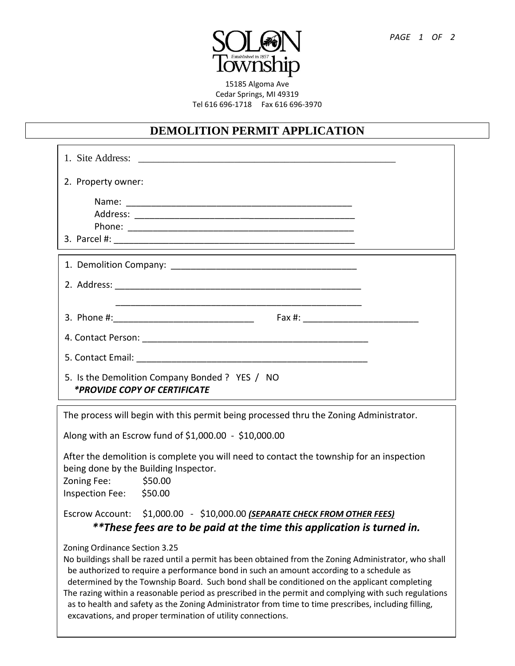

15185 Algoma Ave Cedar Springs, MI 49319 Tel 616 696-1718 Fax 616 696-3970

## **DEMOLITION PERMIT APPLICATION**

| 2. Property owner:                                                                                                                                                                                                                                                                                                                                                                                                                                                                                                                                                                                                 |
|--------------------------------------------------------------------------------------------------------------------------------------------------------------------------------------------------------------------------------------------------------------------------------------------------------------------------------------------------------------------------------------------------------------------------------------------------------------------------------------------------------------------------------------------------------------------------------------------------------------------|
|                                                                                                                                                                                                                                                                                                                                                                                                                                                                                                                                                                                                                    |
|                                                                                                                                                                                                                                                                                                                                                                                                                                                                                                                                                                                                                    |
|                                                                                                                                                                                                                                                                                                                                                                                                                                                                                                                                                                                                                    |
|                                                                                                                                                                                                                                                                                                                                                                                                                                                                                                                                                                                                                    |
|                                                                                                                                                                                                                                                                                                                                                                                                                                                                                                                                                                                                                    |
|                                                                                                                                                                                                                                                                                                                                                                                                                                                                                                                                                                                                                    |
|                                                                                                                                                                                                                                                                                                                                                                                                                                                                                                                                                                                                                    |
|                                                                                                                                                                                                                                                                                                                                                                                                                                                                                                                                                                                                                    |
|                                                                                                                                                                                                                                                                                                                                                                                                                                                                                                                                                                                                                    |
|                                                                                                                                                                                                                                                                                                                                                                                                                                                                                                                                                                                                                    |
| 5. Is the Demolition Company Bonded ? YES / NO<br><i>*PROVIDE COPY OF CERTIFICATE</i>                                                                                                                                                                                                                                                                                                                                                                                                                                                                                                                              |
| The process will begin with this permit being processed thru the Zoning Administrator.                                                                                                                                                                                                                                                                                                                                                                                                                                                                                                                             |
| Along with an Escrow fund of \$1,000.00 - \$10,000.00                                                                                                                                                                                                                                                                                                                                                                                                                                                                                                                                                              |
| After the demolition is complete you will need to contact the township for an inspection<br>being done by the Building Inspector.<br>Zoning Fee:<br>\$50.00<br>Inspection Fee: \$50.00                                                                                                                                                                                                                                                                                                                                                                                                                             |
| Escrow Account: \$1,000.00 - \$10,000.00 (SEPARATE CHECK FROM OTHER FEES)<br>**These fees are to be paid at the time this application is turned in.                                                                                                                                                                                                                                                                                                                                                                                                                                                                |
| Zoning Ordinance Section 3.25<br>No buildings shall be razed until a permit has been obtained from the Zoning Administrator, who shall<br>be authorized to require a performance bond in such an amount according to a schedule as<br>determined by the Township Board. Such bond shall be conditioned on the applicant completing<br>The razing within a reasonable period as prescribed in the permit and complying with such regulations<br>as to health and safety as the Zoning Administrator from time to time prescribes, including filling,<br>excavations, and proper termination of utility connections. |

**PLEASE COMPLETE THE OTHER SIDE OF THIS APPLICATION**